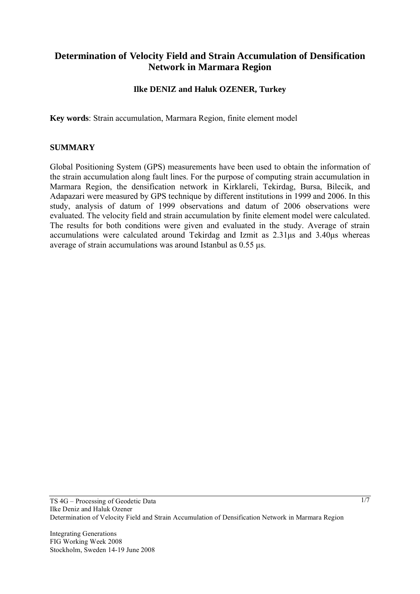# **Determination of Velocity Field and Strain Accumulation of Densification Network in Marmara Region**

## **Ilke DENIZ and Haluk OZENER, Turkey**

**Key words**: Strain accumulation, Marmara Region, finite element model

#### **SUMMARY**

Global Positioning System (GPS) measurements have been used to obtain the information of the strain accumulation along fault lines. For the purpose of computing strain accumulation in Marmara Region, the densification network in Kirklareli, Tekirdag, Bursa, Bilecik, and Adapazari were measured by GPS technique by different institutions in 1999 and 2006. In this study, analysis of datum of 1999 observations and datum of 2006 observations were evaluated. The velocity field and strain accumulation by finite element model were calculated. The results for both conditions were given and evaluated in the study. Average of strain accumulations were calculated around Tekirdag and Izmit as 2.31μs and 3.40μs whereas average of strain accumulations was around Istanbul as 0.55 μs.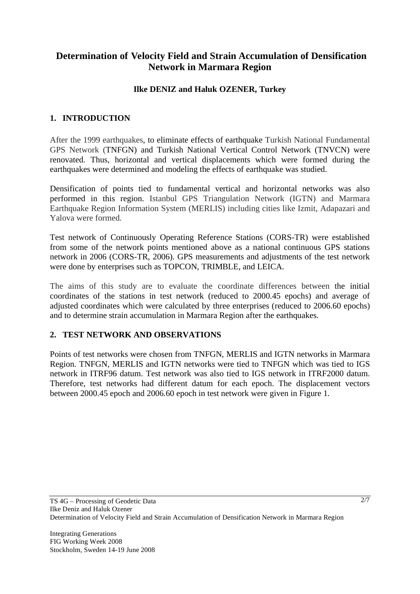# **Determination of Velocity Field and Strain Accumulation of Densification Network in Marmara Region**

## **Ilke DENIZ and Haluk OZENER, Turkey**

## **1. INTRODUCTION**

After the 1999 earthquakes, to eliminate effects of earthquake Turkish National Fundamental GPS Network (TNFGN) and Turkish National Vertical Control Network (TNVCN) were renovated. Thus, horizontal and vertical displacements which were formed during the earthquakes were determined and modeling the effects of earthquake was studied.

Densification of points tied to fundamental vertical and horizontal networks was also performed in this region. Istanbul GPS Triangulation Network (IGTN) and Marmara Earthquake Region Information System (MERLIS) including cities like Izmit, Adapazari and Yalova were formed.

Test network of Continuously Operating Reference Stations (CORS-TR) were established from some of the network points mentioned above as a national continuous GPS stations network in 2006 (CORS-TR, 2006). GPS measurements and adjustments of the test network were done by enterprises such as TOPCON, TRIMBLE, and LEICA.

The aims of this study are to evaluate the coordinate differences between the initial coordinates of the stations in test network (reduced to 2000.45 epochs) and average of adjusted coordinates which were calculated by three enterprises (reduced to 2006.60 epochs) and to determine strain accumulation in Marmara Region after the earthquakes.

### **2. TEST NETWORK AND OBSERVATIONS**

Points of test networks were chosen from TNFGN, MERLIS and IGTN networks in Marmara Region. TNFGN, MERLIS and IGTN networks were tied to TNFGN which was tied to IGS network in ITRF96 datum. Test network was also tied to IGS network in ITRF2000 datum. Therefore, test networks had different datum for each epoch. The displacement vectors between 2000.45 epoch and 2006.60 epoch in test network were given in Figure 1.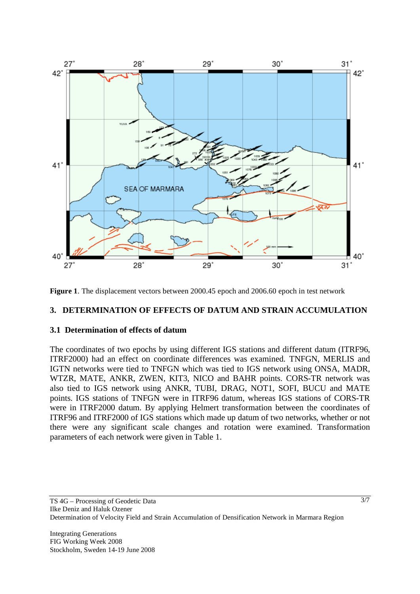

**Figure 1**. The displacement vectors between 2000.45 epoch and 2006.60 epoch in test network

#### **3. DETERMINATION OF EFFECTS OF DATUM AND STRAIN ACCUMULATION**

#### **3.1 Determination of effects of datum**

The coordinates of two epochs by using different IGS stations and different datum (ITRF96, ITRF2000) had an effect on coordinate differences was examined. TNFGN, MERLIS and IGTN networks were tied to TNFGN which was tied to IGS network using ONSA, MADR, WTZR, MATE, ANKR, ZWEN, KIT3, NICO and BAHR points. CORS-TR network was also tied to IGS network using ANKR, TUBI, DRAG, NOT1, SOFI, BUCU and MATE points. IGS stations of TNFGN were in ITRF96 datum, whereas IGS stations of CORS-TR were in ITRF2000 datum. By applying Helmert transformation between the coordinates of ITRF96 and ITRF2000 of IGS stations which made up datum of two networks, whether or not there were any significant scale changes and rotation were examined. Transformation parameters of each network were given in Table 1.

3/7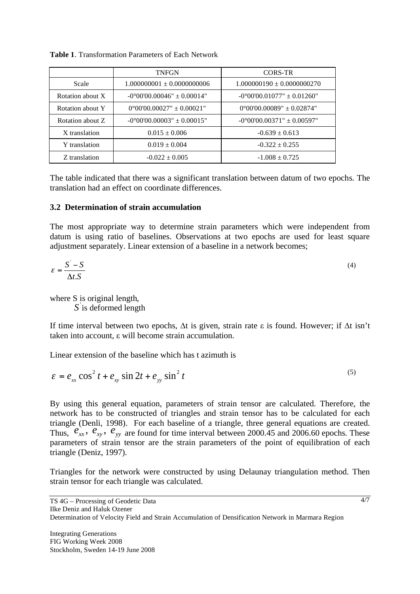|                  | <b>TNFGN</b><br>CORS-TR               |                                       |  |  |
|------------------|---------------------------------------|---------------------------------------|--|--|
| Scale            | $1.000000001 \pm 0.0000000006$        | $1.000000190 \pm 0.0000000270$        |  |  |
| Rotation about X | $-0^{\circ}00'00.00046" \pm 0.00014"$ | $-0^{\circ}00'00.01077" \pm 0.01260"$ |  |  |
| Rotation about Y | $0^{\circ}00'00.00027" \pm 0.00021"$  | $0^{\circ}00'00.00089" \pm 0.02874"$  |  |  |
| Rotation about Z | $-0^{\circ}00'00.00003" \pm 0.00015"$ | $-0^{\circ}00'00.00371" \pm 0.00597"$ |  |  |
| X translation    | $0.015 \pm 0.006$                     | $-0.639 \pm 0.613$                    |  |  |
| Y translation    | $0.019 \pm 0.004$                     | $-0.322 \pm 0.255$                    |  |  |
| Z translation    | $-0.022 \pm 0.005$                    | $-1.008 + 0.725$                      |  |  |

**Table 1**. Transformation Parameters of Each Network

The table indicated that there was a significant translation between datum of two epochs. The translation had an effect on coordinate differences.

### **3.2 Determination of strain accumulation**

The most appropriate way to determine strain parameters which were independent from datum is using ratio of baselines. Observations at two epochs are used for least square adjustment separately. Linear extension of a baseline in a network becomes;

$$
\varepsilon = \frac{S' - S}{\Delta t.S}
$$
 (4)

where S is original length,

S is deformed length

If time interval between two epochs,  $\Delta t$  is given, strain rate  $\varepsilon$  is found. However; if  $\Delta t$  isn't taken into account,  $\varepsilon$  will become strain accumulation.

Linear extension of the baseline which has t azimuth is

$$
\varepsilon = e_{xx} \cos^2 t + e_{xy} \sin 2t + e_{yy} \sin^2 t \tag{5}
$$

By using this general equation, parameters of strain tensor are calculated. Therefore, the network has to be constructed of triangles and strain tensor has to be calculated for each triangle (Denli, 1998). For each baseline of a triangle, three general equations are created. Thus,  $e_{xx}$ ,  $e_{xy}$ ,  $e_{yy}$  are found for time interval between 2000.45 and 2006.60 epochs. These parameters of strain tensor are the strain parameters of the point of equilibration of each triangle (Deniz, 1997).

Triangles for the network were constructed by using Delaunay triangulation method. Then strain tensor for each triangle was calculated.

4/7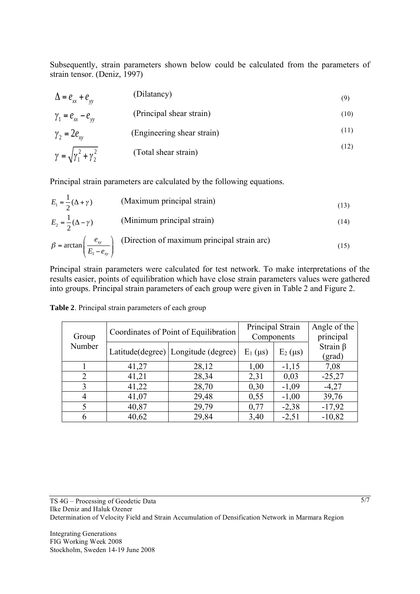Subsequently, strain parameters shown below could be calculated from the parameters of strain tensor. (Deniz, 1997)

| $\Delta = e_{xx} + e_{yy}$                | (Dilatancy)                | (9)  |
|-------------------------------------------|----------------------------|------|
| $\gamma_1 = e_{xx} - e_{yy}$              | (Principal shear strain)   | (10) |
| $\gamma_2 = 2e_{\rm sv}$                  | (Engineering shear strain) | (11) |
| $\gamma = \sqrt{\gamma_1^2 + \gamma_2^2}$ | (Total shear strain)       | (12) |

Principal strain parameters are calculated by the following equations.

$$
E_1 = \frac{1}{2}(\Delta + \gamma)
$$
 (Maximum principal strain) (13)  
\n
$$
E_2 = \frac{1}{2}(\Delta - \gamma)
$$
 (Minimum principal strain) (14)  
\n
$$
\beta = \arctan\left(\frac{e_{xy}}{E_1 - e_{xy}}\right)
$$
 (Direction of maximum principal strain arc) (15)

Principal strain parameters were calculated for test network. To make interpretations of the results easier, points of equilibration which have close strain parameters values were gathered into groups. Principal strain parameters of each group were given in Table 2 and Figure 2.

| Group<br>Number | Coordinates of Point of Equilibration |                                       | Principal Strain<br>Components |              | Angle of the<br>principal |
|-----------------|---------------------------------------|---------------------------------------|--------------------------------|--------------|---------------------------|
|                 |                                       | Latitude(degree)   Longitude (degree) | $E_1(\mu s)$                   | $E_2(\mu s)$ | Strain $\beta$<br>(grad)  |
|                 | 41,27                                 | 28,12                                 | 1,00                           | $-1,15$      | 7,08                      |
| 2               | 41,21                                 | 28,34                                 | 2,31                           | 0,03         | $-25,27$                  |
| 3               | 41,22                                 | 28,70                                 | 0,30                           | $-1,09$      | $-4,27$                   |
| 4               | 41,07                                 | 29,48                                 | 0,55                           | $-1,00$      | 39,76                     |
|                 | 40,87                                 | 29,79                                 | 0,77                           | $-2,38$      | $-17,92$                  |
| 6               | 40,62                                 | 29,84                                 | 3,40                           | $-2,51$      | $-10,82$                  |

**Table 2**. Principal strain parameters of each group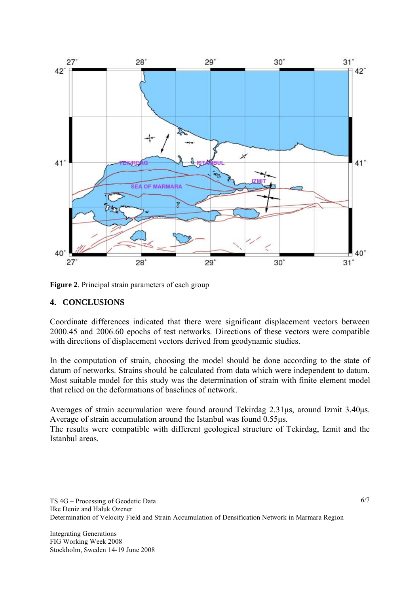

**Figure 2**. Principal strain parameters of each group

#### **4. CONCLUSIONS**

Coordinate differences indicated that there were significant displacement vectors between 2000.45 and 2006.60 epochs of test networks. Directions of these vectors were compatible with directions of displacement vectors derived from geodynamic studies.

In the computation of strain, choosing the model should be done according to the state of datum of networks. Strains should be calculated from data which were independent to datum. Most suitable model for this study was the determination of strain with finite element model that relied on the deformations of baselines of network.

Averages of strain accumulation were found around Tekirdag 2.31μs, around Izmit 3.40μs. Average of strain accumulation around the Istanbul was found 0.55μs.

The results were compatible with different geological structure of Tekirdag, Izmit and the Istanbul areas.